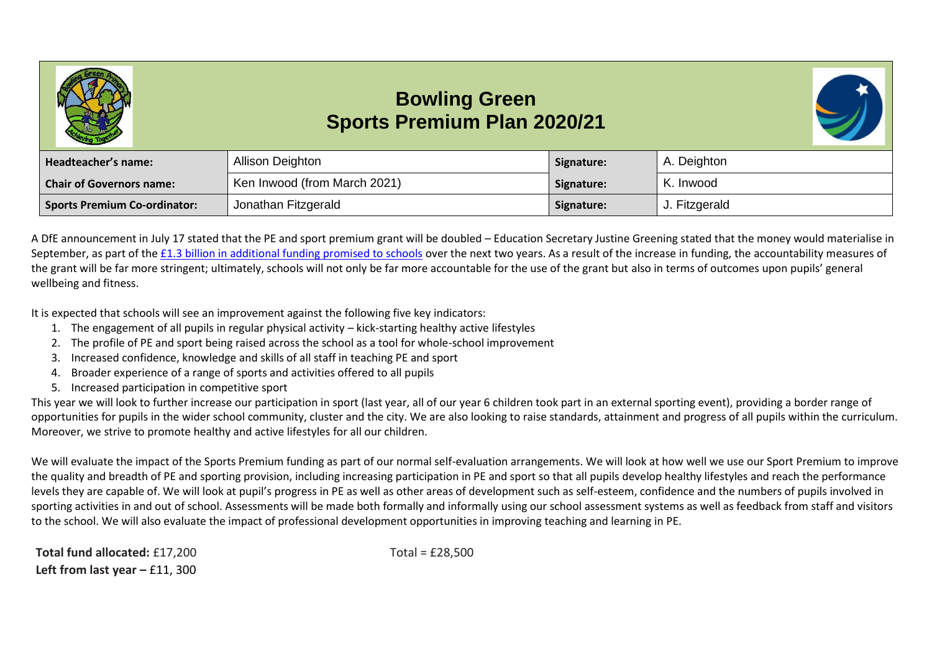## **Bowling Green Sports Premium Plan 2020/21**



| Headteacher's name:             | Allison Deighton             | Signature: | A. Deighton   |
|---------------------------------|------------------------------|------------|---------------|
| <b>Chair of Governors name:</b> | Ken Inwood (from March 2021) | Signature: | K. Inwood     |
| Sports Premium Co-ordinator:    | Jonathan Fitzgerald          | Signature: | J. Fitzgerald |

A DfE announcement in July 17 stated that the PE and sport premium grant will be doubled – Education Secretary Justine Greening stated that the money would materialise in September, as part of the [£1.3 billion in additional funding promised to schools](https://schoolsweek.co.uk/justine-greening-pledges-additional-1-3-billion-for-schools-over-two-years/) over the next two years. As a result of the increase in funding, the accountability measures of the grant will be far more stringent; ultimately, schools will not only be far more accountable for the use of the grant but also in terms of outcomes upon pupils' general wellbeing and fitness.

It is expected that schools will see an improvement against the following five key indicators:

- 1. The engagement of all pupils in regular physical activity kick-starting healthy active lifestyles
- 2. The profile of PE and sport being raised across the school as a tool for whole-school improvement
- 3. Increased confidence, knowledge and skills of all staff in teaching PE and sport
- 4. Broader experience of a range of sports and activities offered to all pupils
- 5. Increased participation in competitive sport

This year we will look to further increase our participation in sport (last year, all of our year 6 children took part in an external sporting event), providing a border range of opportunities for pupils in the wider school community, cluster and the city. We are also looking to raise standards, attainment and progress of all pupils within the curriculum. Moreover, we strive to promote healthy and active lifestyles for all our children.

We will evaluate the impact of the Sports Premium funding as part of our normal self-evaluation arrangements. We will look at how well we use our Sport Premium to improve the quality and breadth of PE and sporting provision, including increasing participation in PE and sport so that all pupils develop healthy lifestyles and reach the performance levels they are capable of. We will look at pupil's progress in PE as well as other areas of development such as self-esteem, confidence and the numbers of pupils involved in sporting activities in and out of school. Assessments will be made both formally and informally using our school assessment systems as well as feedback from staff and visitors to the school. We will also evaluate the impact of professional development opportunities in improving teaching and learning in PE.

**Total fund allocated:** £17,200 Total = £28,500 **Left from last year – £11, 300**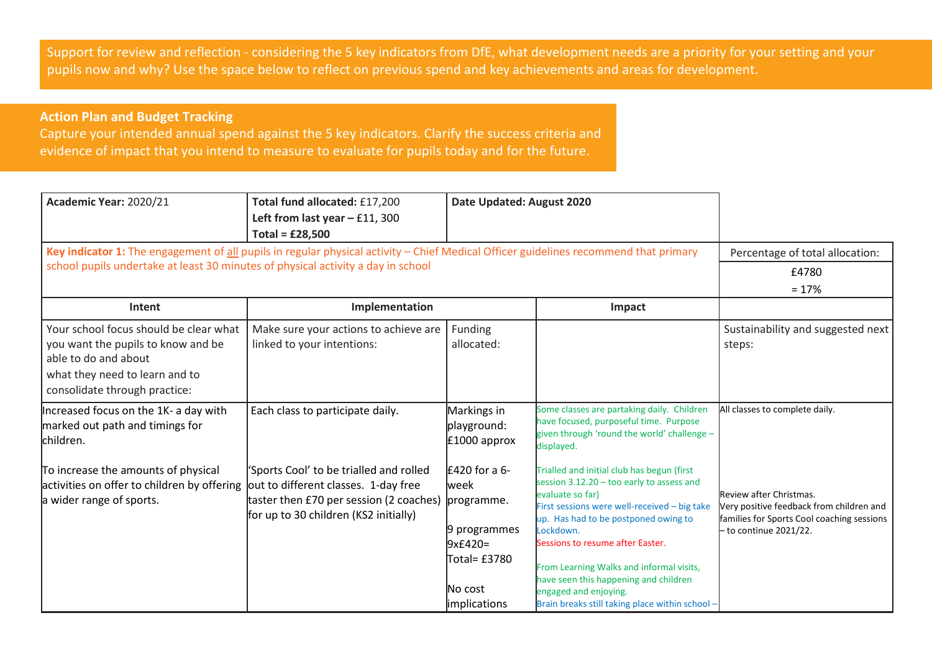Support for review and reflection - considering the 5 key indicators from DfE, what development needs are a priority for your setting and your pupils now and why? Use the space below to reflect on previous spend and key achievements and areas for development.

## **Action Plan and Budget Tracking**

Capture your intended annual spend against the 5 key indicators. Clarify the success criteria and evidence of impact that you intend to measure to evaluate for pupils today and for the future.

| Academic Year: 2020/21<br>Key indicator 1: The engagement of all pupils in regular physical activity - Chief Medical Officer guidelines recommend that primary          | Total fund allocated: £17,200<br>Left from last year $-$ £11, 300<br>Total = $£28,500$                                                                              | Date Updated: August 2020                                                                                                    |                                                                                                                                                                                                                                                                                                                                                                                                                       | Percentage of total allocation:                                                                                                           |
|-------------------------------------------------------------------------------------------------------------------------------------------------------------------------|---------------------------------------------------------------------------------------------------------------------------------------------------------------------|------------------------------------------------------------------------------------------------------------------------------|-----------------------------------------------------------------------------------------------------------------------------------------------------------------------------------------------------------------------------------------------------------------------------------------------------------------------------------------------------------------------------------------------------------------------|-------------------------------------------------------------------------------------------------------------------------------------------|
| school pupils undertake at least 30 minutes of physical activity a day in school<br>Intent                                                                              | Implementation                                                                                                                                                      |                                                                                                                              | Impact                                                                                                                                                                                                                                                                                                                                                                                                                | £4780<br>$= 17%$                                                                                                                          |
| Your school focus should be clear what<br>you want the pupils to know and be<br>able to do and about<br>what they need to learn and to<br>consolidate through practice: | Make sure your actions to achieve are<br>linked to your intentions:                                                                                                 | Funding<br>allocated:                                                                                                        |                                                                                                                                                                                                                                                                                                                                                                                                                       | Sustainability and suggested next<br>steps:                                                                                               |
| Increased focus on the 1K- a day with<br>marked out path and timings for<br>children.                                                                                   | Each class to participate daily.                                                                                                                                    | Markings in<br>playground:<br>$£1000$ approx                                                                                 | Some classes are partaking daily. Children<br>have focused, purposeful time. Purpose<br>given through 'round the world' challenge -<br>displayed.                                                                                                                                                                                                                                                                     | All classes to complete daily.                                                                                                            |
| To increase the amounts of physical<br>activities on offer to children by offering<br>a wider range of sports.                                                          | 'Sports Cool' to be trialled and rolled<br>out to different classes. 1-day free<br>taster then £70 per session (2 coaches)<br>for up to 30 children (KS2 initially) | $£420$ for a 6-<br><b>week</b><br>programme.<br>9 programmes<br>$9x£420=$<br>Total= £3780<br>lNo cost<br><i>implications</i> | Trialled and initial club has begun (first<br>session 3.12.20 - too early to assess and<br>evaluate so far)<br>First sessions were well-received - big take<br>up. Has had to be postponed owing to<br>Lockdown.<br>Sessions to resume after Easter.<br>From Learning Walks and informal visits,<br>have seen this happening and children<br>engaged and enjoying.<br>Brain breaks still taking place within school - | Review after Christmas.<br>Very positive feedback from children and<br>families for Sports Cool coaching sessions<br>to continue 2021/22. |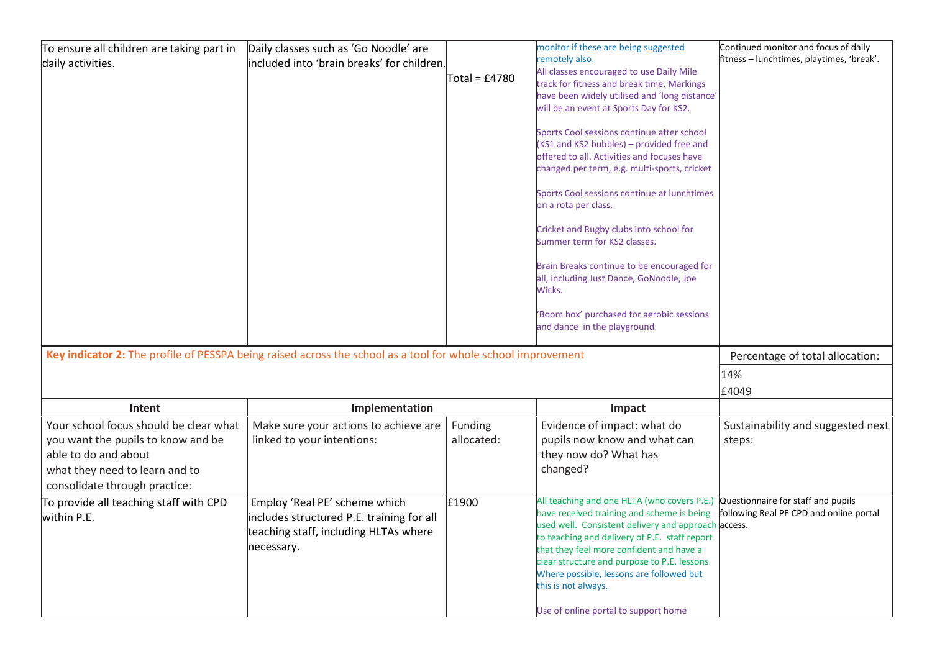| To ensure all children are taking part in<br>daily activities.                                                                                                          | Daily classes such as 'Go Noodle' are<br>included into 'brain breaks' for children.                                               | Total = £4780         | monitor if these are being suggested<br>remotely also.<br>All classes encouraged to use Daily Mile<br>track for fitness and break time. Markings<br>have been widely utilised and 'long distance'<br>will be an event at Sports Day for KS2.<br>Sports Cool sessions continue after school<br>KS1 and KS2 bubbles) - provided free and<br>offered to all. Activities and focuses have<br>changed per term, e.g. multi-sports, cricket<br>Sports Cool sessions continue at lunchtimes<br>on a rota per class.<br>Cricket and Rugby clubs into school for<br>Summer term for KS2 classes.<br>Brain Breaks continue to be encouraged for<br>all, including Just Dance, GoNoodle, Joe<br>Wicks.<br>Boom box' purchased for aerobic sessions<br>and dance in the playground. | Continued monitor and focus of daily<br>fitness – lunchtimes, playtimes, 'break'. |
|-------------------------------------------------------------------------------------------------------------------------------------------------------------------------|-----------------------------------------------------------------------------------------------------------------------------------|-----------------------|-------------------------------------------------------------------------------------------------------------------------------------------------------------------------------------------------------------------------------------------------------------------------------------------------------------------------------------------------------------------------------------------------------------------------------------------------------------------------------------------------------------------------------------------------------------------------------------------------------------------------------------------------------------------------------------------------------------------------------------------------------------------------|-----------------------------------------------------------------------------------|
|                                                                                                                                                                         | Key indicator 2: The profile of PESSPA being raised across the school as a tool for whole school improvement                      |                       |                                                                                                                                                                                                                                                                                                                                                                                                                                                                                                                                                                                                                                                                                                                                                                         | Percentage of total allocation:<br>14%<br>£4049                                   |
| Intent                                                                                                                                                                  | Implementation                                                                                                                    |                       | Impact                                                                                                                                                                                                                                                                                                                                                                                                                                                                                                                                                                                                                                                                                                                                                                  |                                                                                   |
| Your school focus should be clear what<br>you want the pupils to know and be<br>able to do and about<br>what they need to learn and to<br>consolidate through practice: | Make sure your actions to achieve are<br>linked to your intentions:                                                               | Funding<br>allocated: | Evidence of impact: what do<br>pupils now know and what can<br>they now do? What has<br>changed?                                                                                                                                                                                                                                                                                                                                                                                                                                                                                                                                                                                                                                                                        | Sustainability and suggested next<br>steps:                                       |
| To provide all teaching staff with CPD<br>within P.E.                                                                                                                   | Employ 'Real PE' scheme which<br>includes structured P.E. training for all<br>teaching staff, including HLTAs where<br>necessary. | £1900                 | All teaching and one HLTA (who covers P.E.)<br>have received training and scheme is being<br>used well. Consistent delivery and approach access.<br>to teaching and delivery of P.E. staff report<br>that they feel more confident and have a<br>clear structure and purpose to P.E. lessons<br>Where possible, lessons are followed but<br>this is not always.<br>Use of online portal to support home                                                                                                                                                                                                                                                                                                                                                                 | Questionnaire for staff and pupils<br>following Real PE CPD and online portal     |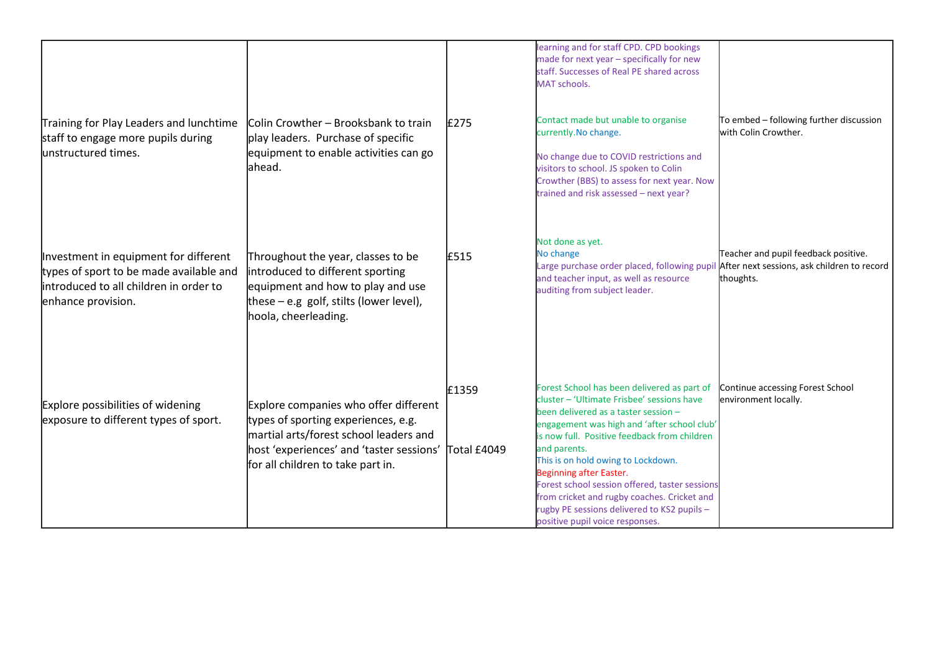| Training for Play Leaders and lunchtime<br>staff to engage more pupils during<br>unstructured times.                                             | <b>Colin Crowther – Brooksbank to train</b><br>play leaders. Purchase of specific<br>equipment to enable activities can go<br>lahead.                                                                   | £275                 | learning and for staff CPD. CPD bookings<br>made for next year - specifically for new<br>staff. Successes of Real PE shared across<br>MAT schools.<br>Contact made but unable to organise<br>currently. No change.<br>No change due to COVID restrictions and<br>visitors to school. JS spoken to Colin<br>Crowther (BBS) to assess for next year. Now<br>trained and risk assessed - next year?                                                                                                     | To embed - following further discussion<br>with Colin Crowther.                                  |
|--------------------------------------------------------------------------------------------------------------------------------------------------|---------------------------------------------------------------------------------------------------------------------------------------------------------------------------------------------------------|----------------------|------------------------------------------------------------------------------------------------------------------------------------------------------------------------------------------------------------------------------------------------------------------------------------------------------------------------------------------------------------------------------------------------------------------------------------------------------------------------------------------------------|--------------------------------------------------------------------------------------------------|
| Investment in equipment for different<br>types of sport to be made available and<br>introduced to all children in order to<br>enhance provision. | Throughout the year, classes to be<br>introduced to different sporting<br>equipment and how to play and use<br>these $-$ e.g golf, stilts (lower level),<br>hoola, cheerleading.                        | E515                 | Not done as yet.<br>No change<br>Large purchase order placed, following pupil<br>and teacher input, as well as resource<br>auditing from subject leader.                                                                                                                                                                                                                                                                                                                                             | Teacher and pupil feedback positive.<br>After next sessions, ask children to record<br>thoughts. |
| Explore possibilities of widening<br>exposure to different types of sport.                                                                       | Explore companies who offer different<br>types of sporting experiences, e.g.<br>martial arts/forest school leaders and<br>host 'experiences' and 'taster sessions'<br>for all children to take part in. | £1359<br>Total £4049 | Forest School has been delivered as part of<br>cluster - 'Ultimate Frisbee' sessions have<br>been delivered as a taster session -<br>engagement was high and 'after school club'<br>is now full. Positive feedback from children<br>and parents.<br>This is on hold owing to Lockdown.<br>Beginning after Easter.<br>Forest school session offered, taster sessions<br>from cricket and rugby coaches. Cricket and<br>rugby PE sessions delivered to KS2 pupils -<br>positive pupil voice responses. | Continue accessing Forest School<br>environment locally.                                         |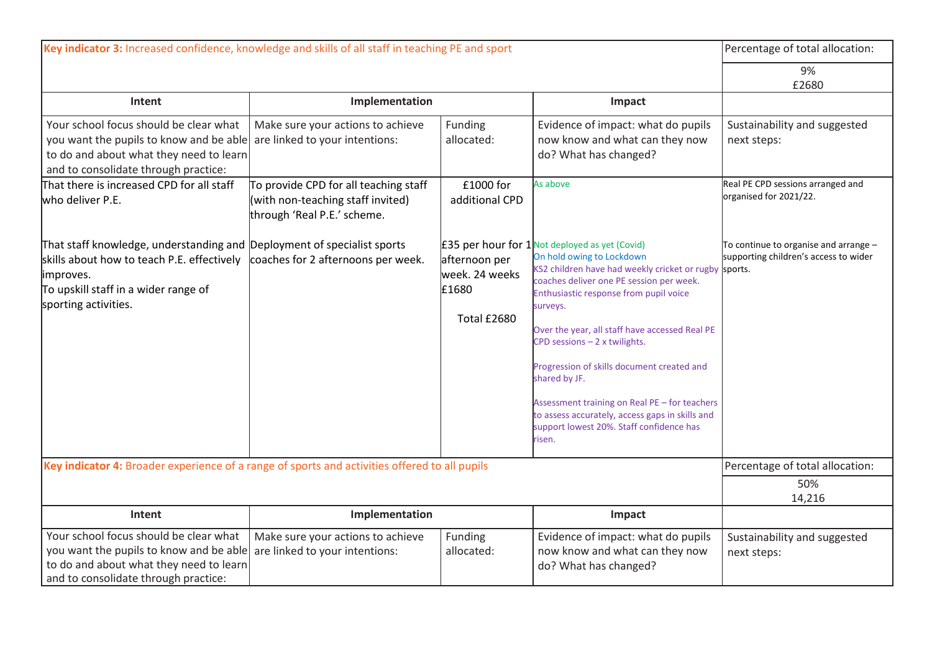| Key indicator 3: Increased confidence, knowledge and skills of all staff in teaching PE and sport                                                                                                  |                                                                                                           |                                                         |                                                                                                                                                                                                                                                                                                                                                                                                                                                                                                                                                           | Percentage of total allocation:                                                |
|----------------------------------------------------------------------------------------------------------------------------------------------------------------------------------------------------|-----------------------------------------------------------------------------------------------------------|---------------------------------------------------------|-----------------------------------------------------------------------------------------------------------------------------------------------------------------------------------------------------------------------------------------------------------------------------------------------------------------------------------------------------------------------------------------------------------------------------------------------------------------------------------------------------------------------------------------------------------|--------------------------------------------------------------------------------|
|                                                                                                                                                                                                    |                                                                                                           |                                                         |                                                                                                                                                                                                                                                                                                                                                                                                                                                                                                                                                           | 9%                                                                             |
| Intent                                                                                                                                                                                             | Implementation                                                                                            |                                                         | Impact                                                                                                                                                                                                                                                                                                                                                                                                                                                                                                                                                    | £2680                                                                          |
|                                                                                                                                                                                                    |                                                                                                           |                                                         |                                                                                                                                                                                                                                                                                                                                                                                                                                                                                                                                                           |                                                                                |
| Your school focus should be clear what<br>you want the pupils to know and be able<br>to do and about what they need to learn<br>and to consolidate through practice:                               | Make sure your actions to achieve<br>are linked to your intentions:                                       | Funding<br>allocated:                                   | Evidence of impact: what do pupils<br>now know and what can they now<br>do? What has changed?                                                                                                                                                                                                                                                                                                                                                                                                                                                             | Sustainability and suggested<br>next steps:                                    |
| That there is increased CPD for all staff<br>who deliver P.E.                                                                                                                                      | To provide CPD for all teaching staff<br>(with non-teaching staff invited)<br>through 'Real P.E.' scheme. | £1000 for<br>additional CPD                             | As above                                                                                                                                                                                                                                                                                                                                                                                                                                                                                                                                                  | Real PE CPD sessions arranged and<br>organised for 2021/22.                    |
| That staff knowledge, understanding and Deployment of specialist sports<br>skills about how to teach P.E. effectively<br>improves.<br>To upskill staff in a wider range of<br>sporting activities. | coaches for 2 afternoons per week.                                                                        | afternoon per<br>week. 24 weeks<br>£1680<br>Total £2680 | <b>£35 per hour for 1</b> Not deployed as yet (Covid)<br>On hold owing to Lockdown<br>KS2 children have had weekly cricket or rugby sports.<br>coaches deliver one PE session per week.<br>Enthusiastic response from pupil voice<br>surveys.<br>Over the year, all staff have accessed Real PE<br>CPD sessions $-2x$ twilights.<br>Progression of skills document created and<br>shared by JF.<br>Assessment training on Real PE - for teachers<br>to assess accurately, access gaps in skills and<br>support lowest 20%. Staff confidence has<br>risen. | To continue to organise and arrange -<br>supporting children's access to wider |
| Key indicator 4: Broader experience of a range of sports and activities offered to all pupils                                                                                                      |                                                                                                           |                                                         |                                                                                                                                                                                                                                                                                                                                                                                                                                                                                                                                                           | Percentage of total allocation:                                                |
|                                                                                                                                                                                                    |                                                                                                           |                                                         |                                                                                                                                                                                                                                                                                                                                                                                                                                                                                                                                                           | 50%<br>14,216                                                                  |
| Intent                                                                                                                                                                                             | Implementation                                                                                            |                                                         | Impact                                                                                                                                                                                                                                                                                                                                                                                                                                                                                                                                                    |                                                                                |
| Your school focus should be clear what<br>you want the pupils to know and be able<br>to do and about what they need to learn<br>and to consolidate through practice:                               | Make sure your actions to achieve<br>are linked to your intentions:                                       | Funding<br>allocated:                                   | Evidence of impact: what do pupils<br>now know and what can they now<br>do? What has changed?                                                                                                                                                                                                                                                                                                                                                                                                                                                             | Sustainability and suggested<br>next steps:                                    |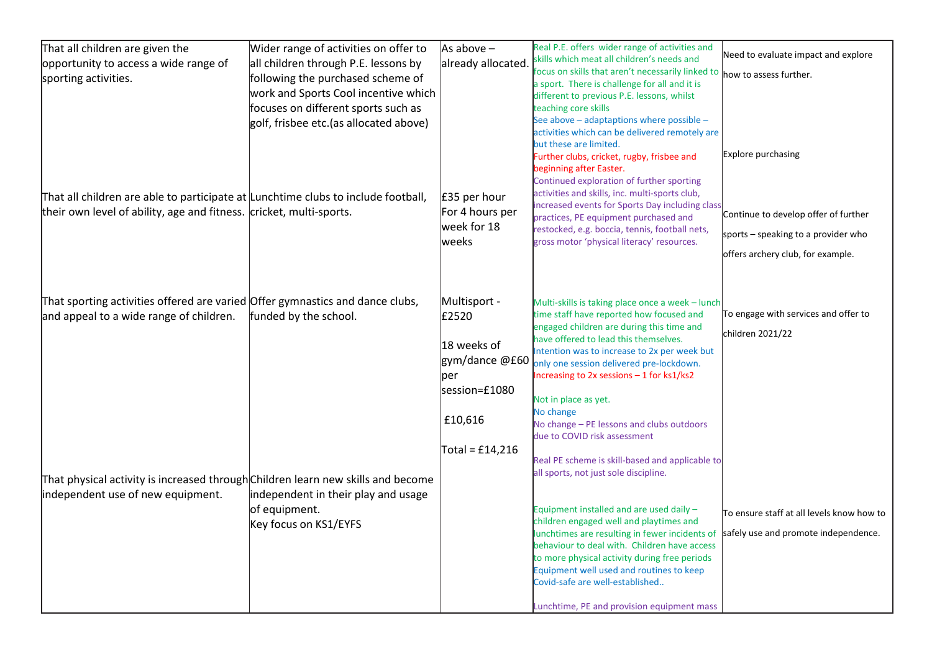| That all children are given the                                                   | Wider range of activities on offer to   | As above $-$       | Real P.E. offers wider range of activities and                                                                                |                                           |
|-----------------------------------------------------------------------------------|-----------------------------------------|--------------------|-------------------------------------------------------------------------------------------------------------------------------|-------------------------------------------|
| opportunity to access a wide range of                                             | all children through P.E. lessons by    | already allocated. | skills which meat all children's needs and                                                                                    | Need to evaluate impact and explore       |
| sporting activities.                                                              | following the purchased scheme of       |                    | focus on skills that aren't necessarily linked to $ $ how to assess further.<br>a sport. There is challenge for all and it is |                                           |
|                                                                                   | work and Sports Cool incentive which    |                    | different to previous P.E. lessons, whilst                                                                                    |                                           |
|                                                                                   | focuses on different sports such as     |                    | teaching core skills                                                                                                          |                                           |
|                                                                                   | golf, frisbee etc. (as allocated above) |                    | See above - adaptaptions where possible -                                                                                     |                                           |
|                                                                                   |                                         |                    | activities which can be delivered remotely are<br>but these are limited.                                                      |                                           |
|                                                                                   |                                         |                    | Further clubs, cricket, rugby, frisbee and                                                                                    | Explore purchasing                        |
|                                                                                   |                                         |                    | beginning after Easter.                                                                                                       |                                           |
|                                                                                   |                                         |                    | Continued exploration of further sporting                                                                                     |                                           |
| That all children are able to participate at Lunchtime clubs to include football, |                                         | £35 per hour       | activities and skills, inc. multi-sports club,<br>increased events for Sports Day including class                             |                                           |
| their own level of ability, age and fitness. cricket, multi-sports.               |                                         | For 4 hours per    | practices, PE equipment purchased and                                                                                         | Continue to develop offer of further      |
|                                                                                   |                                         | week for 18        | restocked, e.g. boccia, tennis, football nets,                                                                                | sports - speaking to a provider who       |
|                                                                                   |                                         | weeks              | gross motor 'physical literacy' resources.                                                                                    |                                           |
|                                                                                   |                                         |                    |                                                                                                                               | offers archery club, for example.         |
|                                                                                   |                                         |                    |                                                                                                                               |                                           |
| That sporting activities offered are varied Offer gymnastics and dance clubs,     |                                         | Multisport -       | Multi-skills is taking place once a week - lunch                                                                              |                                           |
| and appeal to a wide range of children.                                           | funded by the school.                   | £2520              | time staff have reported how focused and                                                                                      | To engage with services and offer to      |
|                                                                                   |                                         |                    | engaged children are during this time and                                                                                     |                                           |
|                                                                                   |                                         | 18 weeks of        | have offered to lead this themselves.                                                                                         | children 2021/22                          |
|                                                                                   |                                         | gym/dance @£60     | Intention was to increase to 2x per week but                                                                                  |                                           |
|                                                                                   |                                         | per                | only one session delivered pre-lockdown.<br>Increasing to 2x sessions - 1 for ks1/ks2                                         |                                           |
|                                                                                   |                                         | session=£1080      |                                                                                                                               |                                           |
|                                                                                   |                                         |                    | Not in place as yet.                                                                                                          |                                           |
|                                                                                   |                                         | £10,616            | No change                                                                                                                     |                                           |
|                                                                                   |                                         |                    | No change - PE lessons and clubs outdoors<br>due to COVID risk assessment                                                     |                                           |
|                                                                                   |                                         | Total = $£14,216$  |                                                                                                                               |                                           |
|                                                                                   |                                         |                    | Real PE scheme is skill-based and applicable to                                                                               |                                           |
| That physical activity is increased through Children learn new skills and become  |                                         |                    | all sports, not just sole discipline.                                                                                         |                                           |
| independent use of new equipment.                                                 | independent in their play and usage     |                    |                                                                                                                               |                                           |
|                                                                                   | of equipment.                           |                    | Equipment installed and are used daily -                                                                                      | To ensure staff at all levels know how to |
|                                                                                   | Key focus on KS1/EYFS                   |                    | children engaged well and playtimes and                                                                                       |                                           |
|                                                                                   |                                         |                    | lunchtimes are resulting in fewer incidents of                                                                                | safely use and promote independence.      |
|                                                                                   |                                         |                    | behaviour to deal with. Children have access<br>to more physical activity during free periods                                 |                                           |
|                                                                                   |                                         |                    | Equipment well used and routines to keep                                                                                      |                                           |
|                                                                                   |                                         |                    | Covid-safe are well-established                                                                                               |                                           |
|                                                                                   |                                         |                    |                                                                                                                               |                                           |
|                                                                                   |                                         |                    | Lunchtime, PE and provision equipment mass                                                                                    |                                           |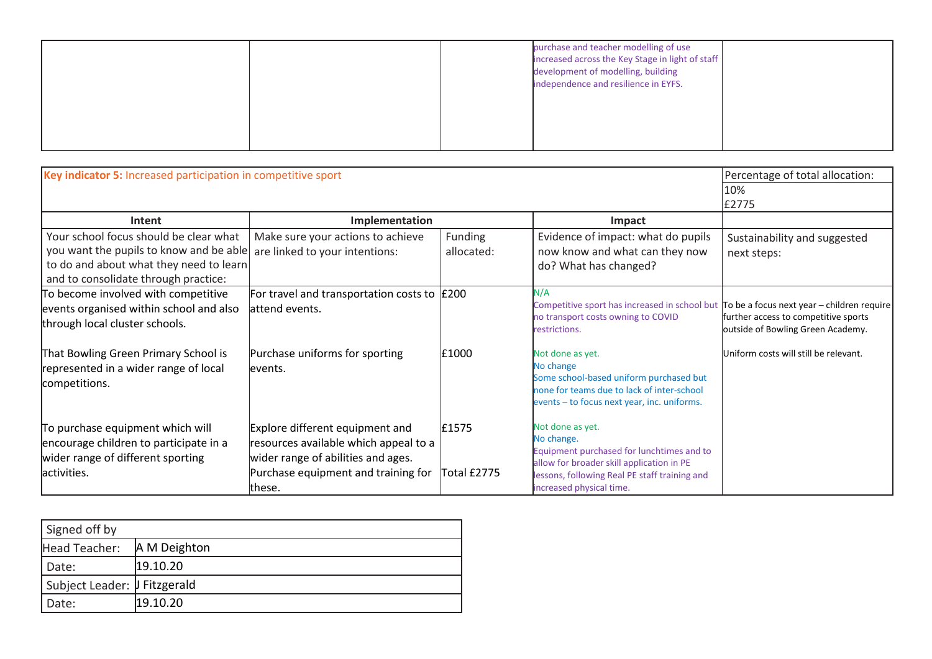|  | purchase and teacher modelling of use<br>increased across the Key Stage in light of staff<br>development of modelling, building |  |
|--|---------------------------------------------------------------------------------------------------------------------------------|--|
|  | independence and resilience in EYFS.                                                                                            |  |
|  |                                                                                                                                 |  |

| Key indicator 5: Increased participation in competitive sport                                                                                                        |                                                                                                                                                                 |                       |                                                                                                                                                                                                       | Percentage of total allocation:                                           |
|----------------------------------------------------------------------------------------------------------------------------------------------------------------------|-----------------------------------------------------------------------------------------------------------------------------------------------------------------|-----------------------|-------------------------------------------------------------------------------------------------------------------------------------------------------------------------------------------------------|---------------------------------------------------------------------------|
|                                                                                                                                                                      |                                                                                                                                                                 |                       |                                                                                                                                                                                                       | 10%<br>£2775                                                              |
| Intent                                                                                                                                                               | Implementation                                                                                                                                                  |                       | <b>Impact</b>                                                                                                                                                                                         |                                                                           |
| Your school focus should be clear what<br>you want the pupils to know and be able<br>to do and about what they need to learn<br>and to consolidate through practice: | Make sure your actions to achieve<br>are linked to your intentions:                                                                                             | Funding<br>allocated: | Evidence of impact: what do pupils<br>now know and what can they now<br>do? What has changed?                                                                                                         | Sustainability and suggested<br>next steps:                               |
| To become involved with competitive<br>events organised within school and also<br>through local cluster schools.                                                     | For travel and transportation costs to $\vert$ £200<br>attend events.                                                                                           |                       | N/A<br>Competitive sport has increased in school but $\vert$ To be a focus next year – children require<br>no transport costs owning to COVID<br>restrictions.                                        | further access to competitive sports<br>outside of Bowling Green Academy. |
| That Bowling Green Primary School is<br>represented in a wider range of local<br>competitions.                                                                       | Purchase uniforms for sporting<br>levents.                                                                                                                      | £1000                 | Not done as yet.<br>No change<br>Some school-based uniform purchased but<br>none for teams due to lack of inter-school<br>events - to focus next year, inc. uniforms.                                 | Uniform costs will still be relevant.                                     |
| To purchase equipment which will<br>encourage children to participate in a<br>wider range of different sporting<br>activities.                                       | Explore different equipment and<br>resources available which appeal to a<br>wider range of abilities and ages.<br>Purchase equipment and training for<br>these. | £1575<br>Total £2775  | Not done as yet.<br>No change.<br>Equipment purchased for lunchtimes and to<br>allow for broader skill application in PE<br>lessons, following Real PE staff training and<br>increased physical time. |                                                                           |

| these.                       |              | increased |
|------------------------------|--------------|-----------|
|                              |              |           |
| Signed off by                |              |           |
| Head Teacher:                | A M Deighton |           |
| Date:                        | 19.10.20     |           |
| Subject Leader: J Fitzgerald |              |           |
| Date:                        | 19.10.20     |           |
|                              |              |           |
|                              |              |           |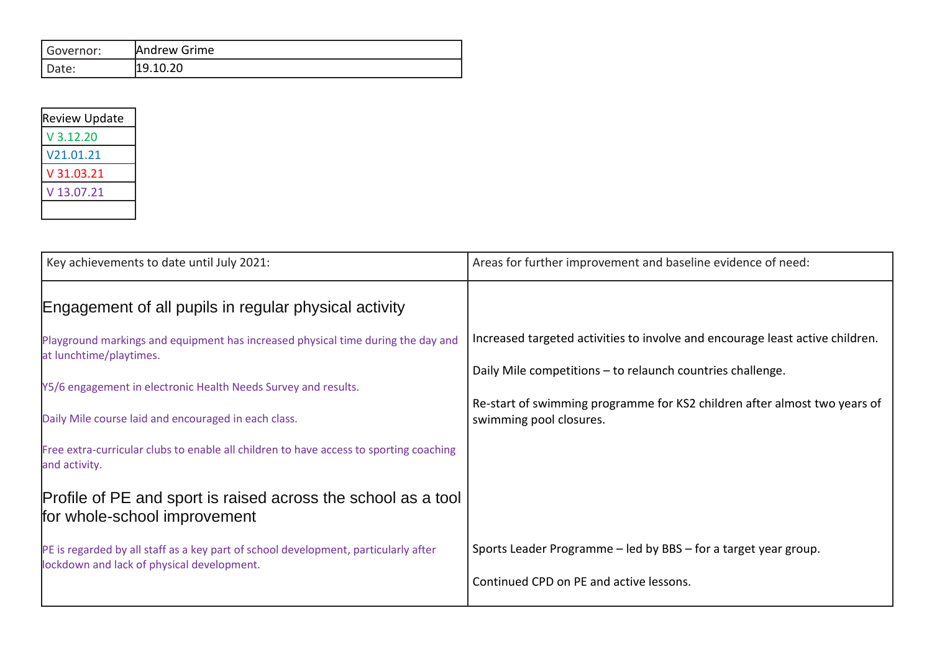| Governor: | Andrew Grime |
|-----------|--------------|
| Date:     | 19.10.20     |

| <b>Review Update</b> |
|----------------------|
| V 3.12.20            |
| V21.01.21            |
| V 31.03.21           |
| V 13.07.21           |
|                      |

| Key achievements to date until July 2021:                                                                                         | Areas for further improvement and baseline evidence of need:                                         |
|-----------------------------------------------------------------------------------------------------------------------------------|------------------------------------------------------------------------------------------------------|
| Engagement of all pupils in regular physical activity                                                                             |                                                                                                      |
| Playground markings and equipment has increased physical time during the day and<br>at lunchtime/playtimes.                       | Increased targeted activities to involve and encourage least active children.                        |
| Y5/6 engagement in electronic Health Needs Survey and results.                                                                    | Daily Mile competitions - to relaunch countries challenge.                                           |
| Daily Mile course laid and encouraged in each class.                                                                              | Re-start of swimming programme for KS2 children after almost two years of<br>swimming pool closures. |
| Free extra-curricular clubs to enable all children to have access to sporting coaching<br>and activity.                           |                                                                                                      |
| Profile of PE and sport is raised across the school as a tool<br>for whole-school improvement                                     |                                                                                                      |
| PE is regarded by all staff as a key part of school development, particularly after<br>lockdown and lack of physical development. | Sports Leader Programme – led by BBS – for a target year group.                                      |
|                                                                                                                                   | Continued CPD on PE and active lessons.                                                              |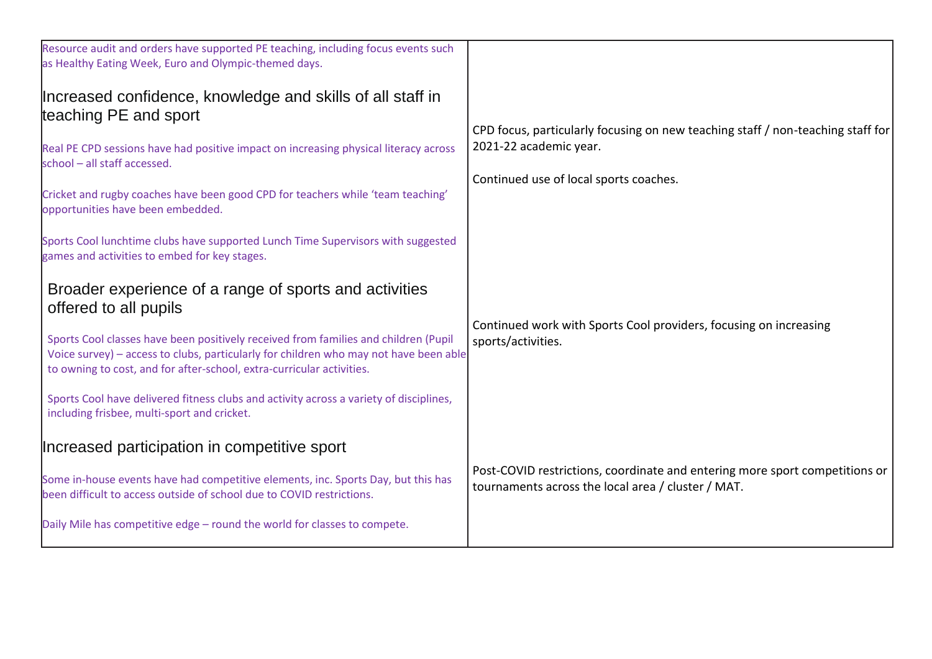| Resource audit and orders have supported PE teaching, including focus events such<br>as Healthy Eating Week, Euro and Olympic-themed days.                                                                                                                                                                                                                                                                                                                                                                                                                                                                             |                                                                                                                                                     |
|------------------------------------------------------------------------------------------------------------------------------------------------------------------------------------------------------------------------------------------------------------------------------------------------------------------------------------------------------------------------------------------------------------------------------------------------------------------------------------------------------------------------------------------------------------------------------------------------------------------------|-----------------------------------------------------------------------------------------------------------------------------------------------------|
| Increased confidence, knowledge and skills of all staff in<br>teaching PE and sport<br>Real PE CPD sessions have had positive impact on increasing physical literacy across<br>school - all staff accessed.<br>Cricket and rugby coaches have been good CPD for teachers while 'team teaching'<br>opportunities have been embedded.                                                                                                                                                                                                                                                                                    | CPD focus, particularly focusing on new teaching staff / non-teaching staff for<br>2021-22 academic year.<br>Continued use of local sports coaches. |
| Sports Cool lunchtime clubs have supported Lunch Time Supervisors with suggested<br>games and activities to embed for key stages.<br>Broader experience of a range of sports and activities<br>offered to all pupils<br>Sports Cool classes have been positively received from families and children (Pupil<br>Voice survey) - access to clubs, particularly for children who may not have been able<br>to owning to cost, and for after-school, extra-curricular activities.<br>Sports Cool have delivered fitness clubs and activity across a variety of disciplines,<br>including frisbee, multi-sport and cricket. | Continued work with Sports Cool providers, focusing on increasing<br>sports/activities.                                                             |
| Increased participation in competitive sport<br>Some in-house events have had competitive elements, inc. Sports Day, but this has<br>been difficult to access outside of school due to COVID restrictions.<br>Daily Mile has competitive edge - round the world for classes to compete.                                                                                                                                                                                                                                                                                                                                | Post-COVID restrictions, coordinate and entering more sport competitions or<br>tournaments across the local area / cluster / MAT.                   |